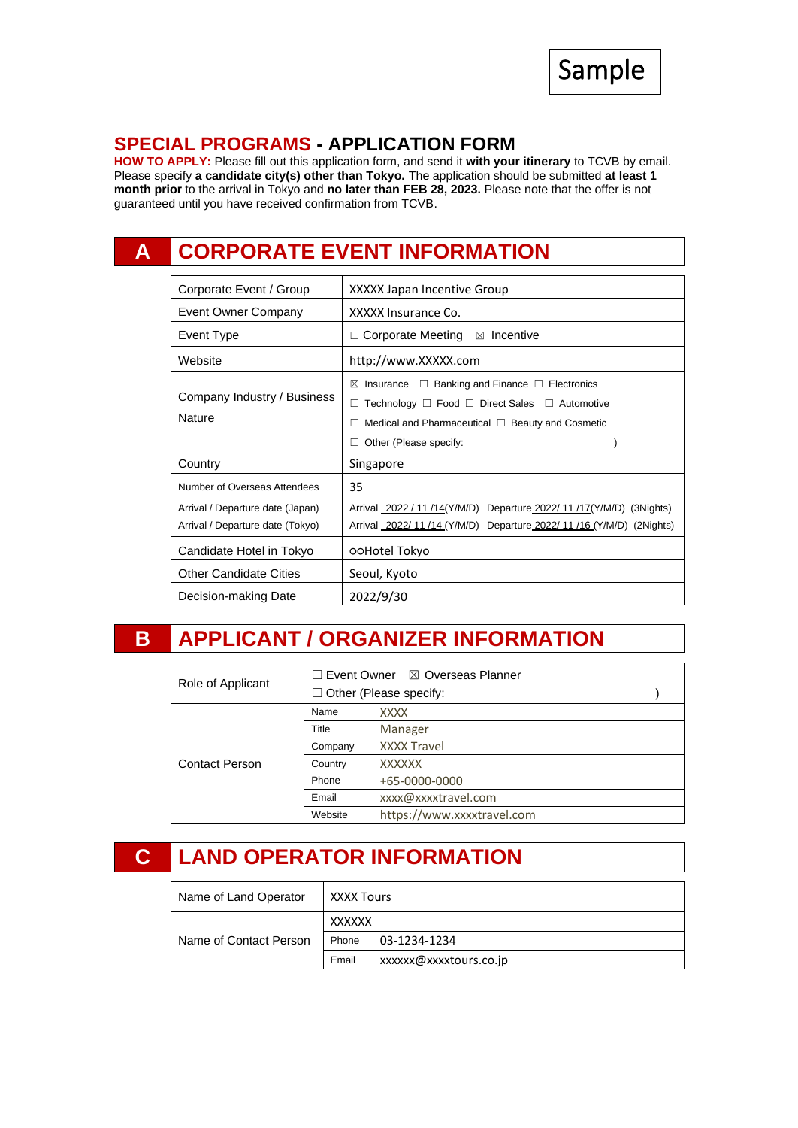

### **SPECIAL PROGRAMS - APPLICATION FORM**

**HOW TO APPLY:** Please fill out this application form, and send it **with your itinerary** to TCVB by email. Please specify **a candidate city(s) other than Tokyo.** The application should be submitted **at least 1 month prior** to the arrival in Tokyo and **no later than FEB 28, 2023.** Please note that the offer is not guaranteed until you have received confirmation from TCVB.

# **A CORPORATE EVENT INFORMATION**

| Corporate Event / Group                                              | XXXXX Japan Incentive Group                                                                                                                                                                                     |  |  |  |
|----------------------------------------------------------------------|-----------------------------------------------------------------------------------------------------------------------------------------------------------------------------------------------------------------|--|--|--|
| Event Owner Company                                                  | XXXXX Insurance Co.                                                                                                                                                                                             |  |  |  |
| Event Type                                                           | $\Box$ Corporate Meeting<br>$\boxtimes$ Incentive                                                                                                                                                               |  |  |  |
| Website                                                              | http://www.XXXXX.com                                                                                                                                                                                            |  |  |  |
| Company Industry / Business<br>Nature                                | Insurance $\Box$ Banking and Finance $\Box$ Electronics<br>⊠<br>Technology $\Box$ Food $\Box$ Direct Sales $\Box$ Automotive<br>П<br>Medical and Pharmaceutical □ Beauty and Cosmetic<br>Other (Please specify: |  |  |  |
| Country                                                              | Singapore                                                                                                                                                                                                       |  |  |  |
| Number of Overseas Attendees                                         | 35                                                                                                                                                                                                              |  |  |  |
| Arrival / Departure date (Japan)<br>Arrival / Departure date (Tokyo) | Arrival 2022 / 11 /14(Y/M/D) Departure 2022/ 11 /17(Y/M/D) (3Nights)<br>Arrival 2022/11/14 (Y/M/D) Departure 2022/11/16 (Y/M/D) (2Nights)                                                                       |  |  |  |
| Candidate Hotel in Tokyo                                             | ooHotel Tokyo                                                                                                                                                                                                   |  |  |  |
| <b>Other Candidate Cities</b>                                        | Seoul, Kyoto                                                                                                                                                                                                    |  |  |  |
| Decision-making Date                                                 | 2022/9/30                                                                                                                                                                                                       |  |  |  |

## **B APPLICANT / ORGANIZER INFORMATION**

| Role of Applicant     | $\Box$ Event Owner $\boxtimes$ Overseas Planner<br>$\Box$ Other (Please specify: |                            |  |
|-----------------------|----------------------------------------------------------------------------------|----------------------------|--|
| <b>Contact Person</b> | Name                                                                             | <b>XXXX</b>                |  |
|                       | Title                                                                            | Manager                    |  |
|                       | Company                                                                          | <b>XXXX Travel</b>         |  |
|                       | Country                                                                          | <b>XXXXXX</b>              |  |
|                       | Phone                                                                            | +65-0000-0000              |  |
|                       | Email                                                                            | xxxx@xxxxtravel.com        |  |
|                       | Website                                                                          | https://www.xxxxtravel.com |  |

## **C LAND OPERATOR INFORMATION**

| Name of Land Operator  | XXXX Tours    |                       |  |  |
|------------------------|---------------|-----------------------|--|--|
| Name of Contact Person | <b>XXXXXX</b> |                       |  |  |
|                        | Phone         | 03-1234-1234          |  |  |
|                        | Email         | xxxxx@xxxxtours.co.jp |  |  |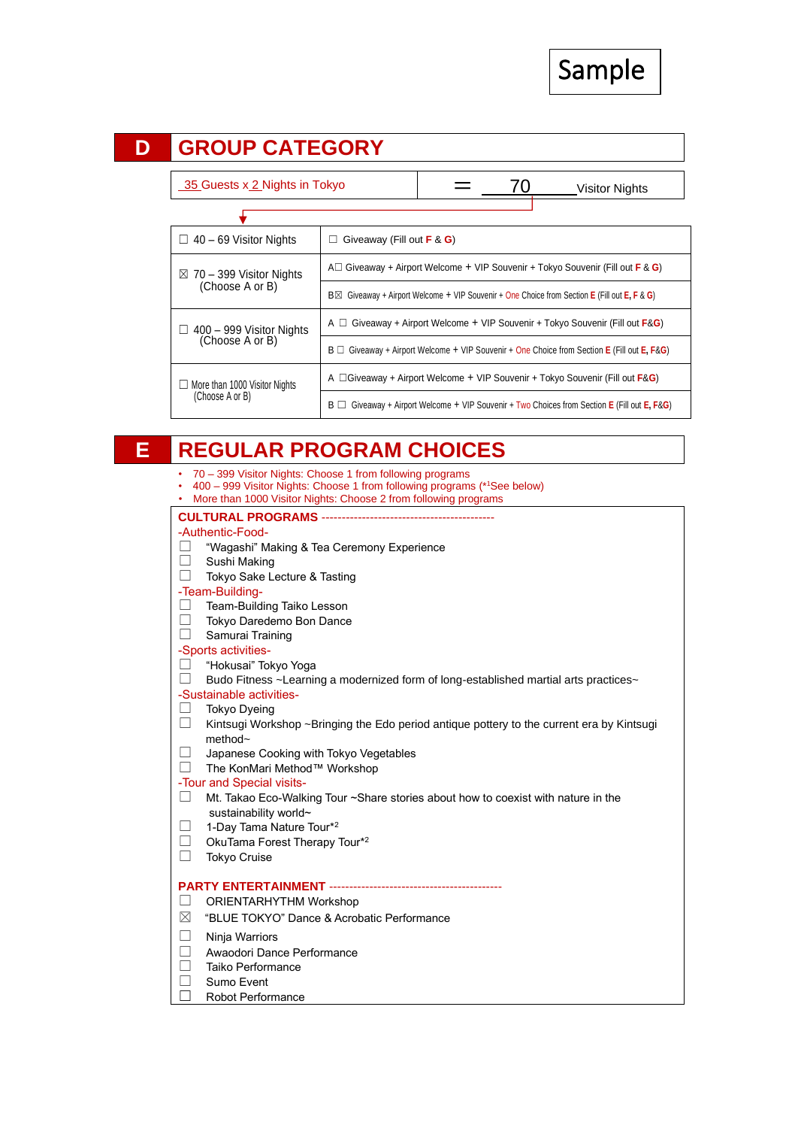Sample



| 35 Guests x 2 Nights in Tokyo                           |                                                                                                     |  |  | <b>Visitor Nights</b>                                                                             |  |
|---------------------------------------------------------|-----------------------------------------------------------------------------------------------------|--|--|---------------------------------------------------------------------------------------------------|--|
|                                                         |                                                                                                     |  |  |                                                                                                   |  |
| $\Box$ 40 – 69 Visitor Nights                           | Giveaway (Fill out $F \& G$ )<br>П                                                                  |  |  |                                                                                                   |  |
| $\boxtimes$ 70 – 399 Visitor Nights<br>(Choose A or B)  | A $\Box$ Giveaway + Airport Welcome + VIP Souvenir + Tokyo Souvenir (Fill out <b>F</b> & <b>G</b> ) |  |  |                                                                                                   |  |
|                                                         | Giveaway + Airport Welcome + VIP Souvenir + One Choice from Section E (Fill out E, F & G)<br>B⊠     |  |  |                                                                                                   |  |
| $\Box$ 400 – 999 Visitor Nights<br>(Choose A or B)      | A $\Box$ Giveaway + Airport Welcome + VIP Souvenir + Tokyo Souvenir (Fill out <b>F&amp;G</b> )      |  |  |                                                                                                   |  |
|                                                         | $B \Box$ Giveaway + Airport Welcome + VIP Souvenir + One Choice from Section E (Fill out E, F&G)    |  |  |                                                                                                   |  |
| $\Box$ More than 1000 Visitor Nights<br>(Choose A or B) | A $\Box$ Giveaway + Airport Welcome + VIP Souvenir + Tokyo Souvenir (Fill out <b>F&amp;G</b> )      |  |  |                                                                                                   |  |
|                                                         |                                                                                                     |  |  | $B \Box$ Giveaway + Airport Welcome + VIP Souvenir + Two Choices from Section E (Fill out E, F&G) |  |

### **E REGULAR PROGRAM CHOICES**

- 70 399 Visitor Nights: Choose 1 from following programs
- 400 999 Visitor Nights: Choose 1 from following programs (\*<sup>1</sup>See below)
- More than 1000 Visitor Nights: Choose 2 from following programs

#### **CULTURAL PROGRAMS** -------------------------------------------

- -Authentic-Food-
- ☐ "Wagashi" Making & Tea Ceremony Experience
- ☐ Sushi Making
- ☐ Tokyo Sake Lecture & Tasting
- -Team-Building-
- ☐ Team-Building Taiko Lesson
- ☐ Tokyo Daredemo Bon Dance
- ☐ Samurai Training
- -Sports activities-
- ☐ "Hokusai" Tokyo Yoga
- $\Box$  Budo Fitness ~Learning a modernized form of long-established martial arts practices~
- -Sustainable activities-
- ☐ Tokyo Dyeing
- $\Box$  Kintsugi Workshop ~Bringing the Edo period antique pottery to the current era by Kintsugi method~
- ☐ Japanese Cooking with Tokyo Vegetables
- ☐ The KonMari Method™ Workshop

-Tour and Special visits-

- ☐ Mt. Takao Eco-Walking Tour ~Share stories about how to coexist with nature in the sustainability world~
- □ 1-Day Tama Nature Tour<sup>\*2</sup>
- $\Box$  OkuTama Forest Therapy Tour\*2
- ☐ Tokyo Cruise

#### **PARTY ENTERTAINMENT ------------**

- ☐ ORIENTARHYTHM Workshop
- ☒ "BLUE TOKYO" Dance & Acrobatic Performance
- ☐ Ninja Warriors
- ☐ Awaodori Dance Performance
- ☐ Taiko Performance
- □ Sumo Event
- ☐ Robot Performance